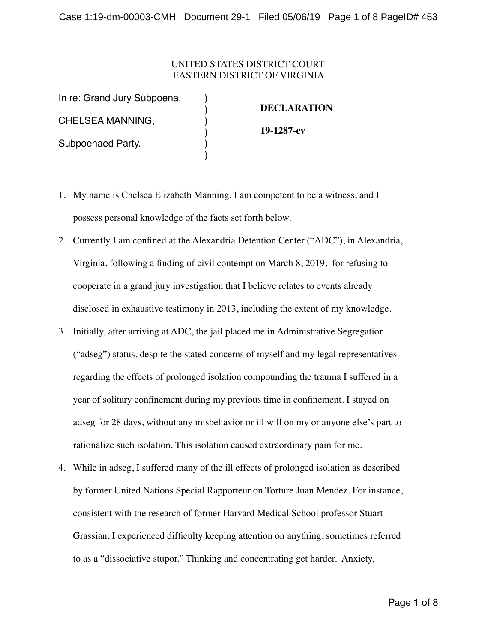## UNITED STATES DISTRICT COURT EASTERN DISTRICT OF VIRGINIA

In re: Grand Jury Subpoena,

\_\_\_\_\_\_\_\_\_\_\_\_\_\_\_\_\_\_\_\_\_\_\_\_\_\_\_)

CHELSEA MANNING, )

Subpoenaed Party.

## **DECLARATION**

**19-1287-cv**

1. My name is Chelsea Elizabeth Manning. I am competent to be a witness, and I possess personal knowledge of the facts set forth below.

)

)

- 2. Currently I am confined at the Alexandria Detention Center ("ADC"), in Alexandria, Virginia, following a finding of civil contempt on March 8, 2019, for refusing to cooperate in a grand jury investigation that I believe relates to events already disclosed in exhaustive testimony in 2013, including the extent of my knowledge.
- 3. Initially, after arriving at ADC, the jail placed me in Administrative Segregation ("adseg") status, despite the stated concerns of myself and my legal representatives regarding the effects of prolonged isolation compounding the trauma I suffered in a year of solitary confinement during my previous time in confinement. I stayed on adseg for 28 days, without any misbehavior or ill will on my or anyone else's part to rationalize such isolation. This isolation caused extraordinary pain for me.
- 4. While in adseg, I suffered many of the ill effects of prolonged isolation as described by former United Nations Special Rapporteur on Torture Juan Mendez. For instance, consistent with the research of former Harvard Medical School professor Stuart Grassian, I experienced difficulty keeping attention on anything, sometimes referred to as a "dissociative stupor." Thinking and concentrating get harder. Anxiety,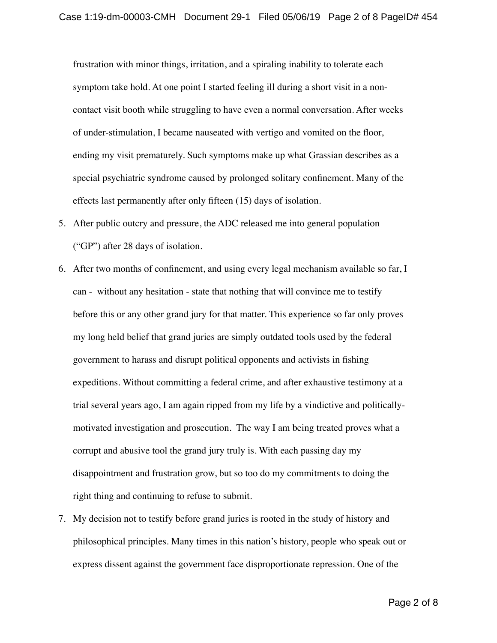frustration with minor things, irritation, and a spiraling inability to tolerate each symptom take hold. At one point I started feeling ill during a short visit in a noncontact visit booth while struggling to have even a normal conversation. After weeks of under-stimulation, I became nauseated with vertigo and vomited on the floor, ending my visit prematurely. Such symptoms make up what Grassian describes as a special psychiatric syndrome caused by prolonged solitary confinement. Many of the effects last permanently after only fifteen (15) days of isolation.

- 5. After public outcry and pressure, the ADC released me into general population ("GP") after 28 days of isolation.
- 6. After two months of confinement, and using every legal mechanism available so far, I can - without any hesitation - state that nothing that will convince me to testify before this or any other grand jury for that matter. This experience so far only proves my long held belief that grand juries are simply outdated tools used by the federal government to harass and disrupt political opponents and activists in fishing expeditions. Without committing a federal crime, and after exhaustive testimony at a trial several years ago, I am again ripped from my life by a vindictive and politicallymotivated investigation and prosecution. The way I am being treated proves what a corrupt and abusive tool the grand jury truly is. With each passing day my disappointment and frustration grow, but so too do my commitments to doing the right thing and continuing to refuse to submit.
- 7. My decision not to testify before grand juries is rooted in the study of history and philosophical principles. Many times in this nation's history, people who speak out or express dissent against the government face disproportionate repression. One of the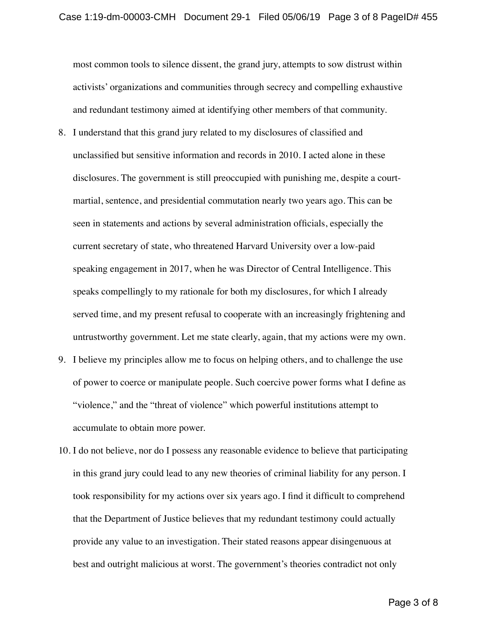most common tools to silence dissent, the grand jury, attempts to sow distrust within activists' organizations and communities through secrecy and compelling exhaustive and redundant testimony aimed at identifying other members of that community.

- 8. I understand that this grand jury related to my disclosures of classified and unclassified but sensitive information and records in 2010. I acted alone in these disclosures. The government is still preoccupied with punishing me, despite a courtmartial, sentence, and presidential commutation nearly two years ago. This can be seen in statements and actions by several administration officials, especially the current secretary of state, who threatened Harvard University over a low-paid speaking engagement in 2017, when he was Director of Central Intelligence. This speaks compellingly to my rationale for both my disclosures, for which I already served time, and my present refusal to cooperate with an increasingly frightening and untrustworthy government. Let me state clearly, again, that my actions were my own.
- 9. I believe my principles allow me to focus on helping others, and to challenge the use of power to coerce or manipulate people. Such coercive power forms what I define as "violence," and the "threat of violence" which powerful institutions attempt to accumulate to obtain more power.
- 10. I do not believe, nor do I possess any reasonable evidence to believe that participating in this grand jury could lead to any new theories of criminal liability for any person. I took responsibility for my actions over six years ago. I find it difficult to comprehend that the Department of Justice believes that my redundant testimony could actually provide any value to an investigation. Their stated reasons appear disingenuous at best and outright malicious at worst. The government's theories contradict not only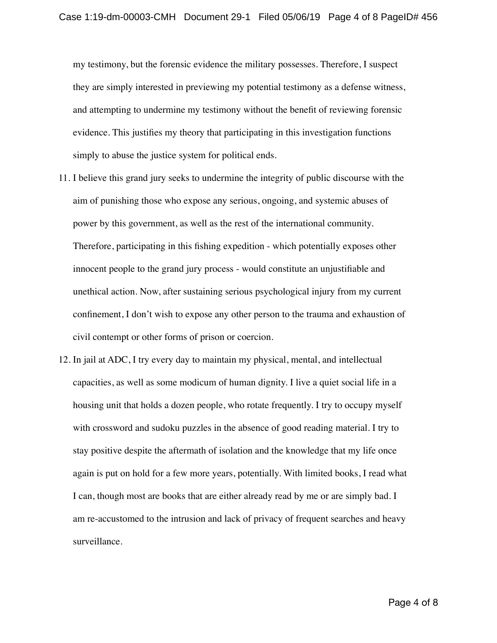my testimony, but the forensic evidence the military possesses. Therefore, I suspect they are simply interested in previewing my potential testimony as a defense witness, and attempting to undermine my testimony without the benefit of reviewing forensic evidence. This justifies my theory that participating in this investigation functions simply to abuse the justice system for political ends.

- 11. I believe this grand jury seeks to undermine the integrity of public discourse with the aim of punishing those who expose any serious, ongoing, and systemic abuses of power by this government, as well as the rest of the international community. Therefore, participating in this fishing expedition - which potentially exposes other innocent people to the grand jury process - would constitute an unjustifiable and unethical action. Now, after sustaining serious psychological injury from my current confinement, I don't wish to expose any other person to the trauma and exhaustion of civil contempt or other forms of prison or coercion.
- 12. In jail at ADC, I try every day to maintain my physical, mental, and intellectual capacities, as well as some modicum of human dignity. I live a quiet social life in a housing unit that holds a dozen people, who rotate frequently. I try to occupy myself with crossword and sudoku puzzles in the absence of good reading material. I try to stay positive despite the aftermath of isolation and the knowledge that my life once again is put on hold for a few more years, potentially. With limited books, I read what I can, though most are books that are either already read by me or are simply bad. I am re-accustomed to the intrusion and lack of privacy of frequent searches and heavy surveillance.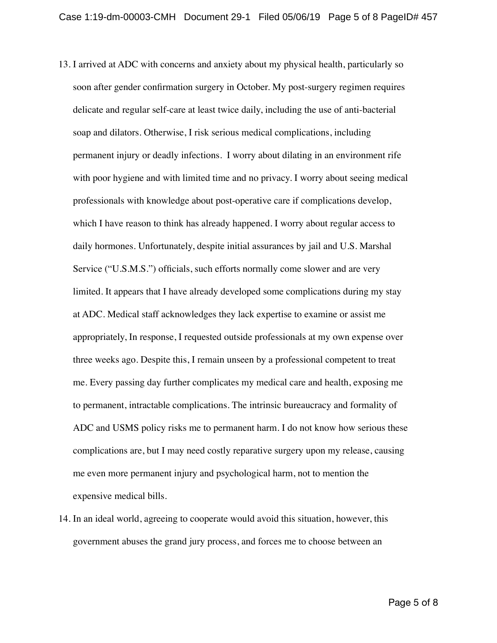- 13. I arrived at ADC with concerns and anxiety about my physical health, particularly so soon after gender confirmation surgery in October. My post-surgery regimen requires delicate and regular self-care at least twice daily, including the use of anti-bacterial soap and dilators. Otherwise, I risk serious medical complications, including permanent injury or deadly infections. I worry about dilating in an environment rife with poor hygiene and with limited time and no privacy. I worry about seeing medical professionals with knowledge about post-operative care if complications develop, which I have reason to think has already happened. I worry about regular access to daily hormones. Unfortunately, despite initial assurances by jail and U.S. Marshal Service ("U.S.M.S.") officials, such efforts normally come slower and are very limited. It appears that I have already developed some complications during my stay at ADC. Medical staff acknowledges they lack expertise to examine or assist me appropriately, In response, I requested outside professionals at my own expense over three weeks ago. Despite this, I remain unseen by a professional competent to treat me. Every passing day further complicates my medical care and health, exposing me to permanent, intractable complications. The intrinsic bureaucracy and formality of ADC and USMS policy risks me to permanent harm. I do not know how serious these complications are, but I may need costly reparative surgery upon my release, causing me even more permanent injury and psychological harm, not to mention the expensive medical bills.
- 14. In an ideal world, agreeing to cooperate would avoid this situation, however, this government abuses the grand jury process, and forces me to choose between an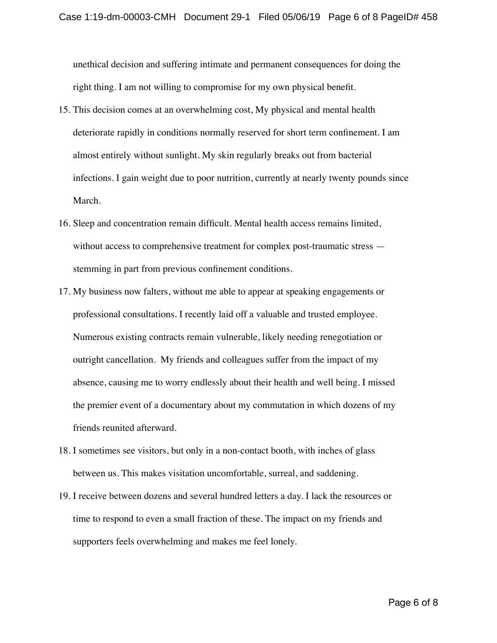unethical decision and suffering intimate and permanent consequences for doing the right thing. I am not willing to compromise for my own physical benefit.

- 15. This decision comes at an overwhelming cost, My physical and mental health deteriorate rapidly in conditions normally reserved for short term confinement. I am almost entirely without sunlight. My skin regularly breaks out from bacterial infections. I gain weight due to poor nutrition, currently at nearly twenty pounds since March.
- 16. Sleep and concentration remain difficult. Mental health access remains limited, without access to comprehensive treatment for complex post-traumatic stress stemming in part from previous confinement conditions.
- 17. My business now falters, without me able to appear at speaking engagements or professional consultations. I recently laid off a valuable and trusted employee. Numerous existing contracts remain vulnerable, likely needing renegotiation or outright cancellation. My friends and colleagues suffer from the impact of my absence, causing me to worry endlessly about their health and well being. I missed the premier event of a documentary about my commutation in which dozens of my friends reunited afterward.
- 18. I sometimes see visitors, but only in a non-contact booth, with inches of glass between us. This makes visitation uncomfortable, surreal, and saddening.
- 19. I receive between dozens and several hundred letters a day. I lack the resources or time to respond to even a small fraction of these. The impact on my friends and supporters feels overwhelming and makes me feel lonely.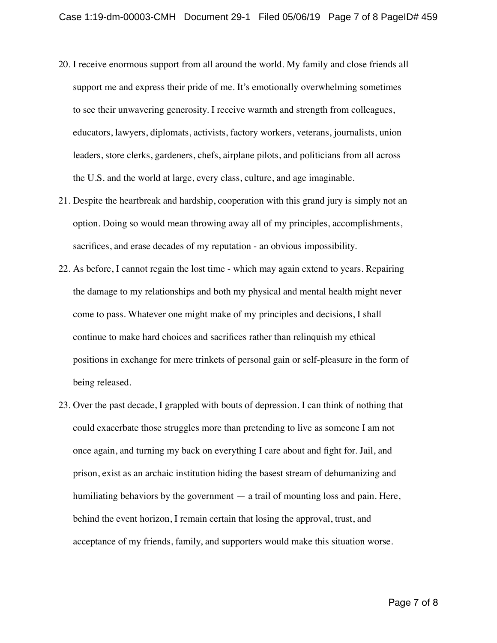- 20. I receive enormous support from all around the world. My family and close friends all support me and express their pride of me. It's emotionally overwhelming sometimes to see their unwavering generosity. I receive warmth and strength from colleagues, educators, lawyers, diplomats, activists, factory workers, veterans, journalists, union leaders, store clerks, gardeners, chefs, airplane pilots, and politicians from all across the U.S. and the world at large, every class, culture, and age imaginable.
- 21. Despite the heartbreak and hardship, cooperation with this grand jury is simply not an option. Doing so would mean throwing away all of my principles, accomplishments, sacrifices, and erase decades of my reputation - an obvious impossibility.
- 22. As before, I cannot regain the lost time which may again extend to years. Repairing the damage to my relationships and both my physical and mental health might never come to pass. Whatever one might make of my principles and decisions, I shall continue to make hard choices and sacrifices rather than relinquish my ethical positions in exchange for mere trinkets of personal gain or self-pleasure in the form of being released.
- 23. Over the past decade, I grappled with bouts of depression. I can think of nothing that could exacerbate those struggles more than pretending to live as someone I am not once again, and turning my back on everything I care about and fight for. Jail, and prison, exist as an archaic institution hiding the basest stream of dehumanizing and humiliating behaviors by the government — a trail of mounting loss and pain. Here, behind the event horizon, I remain certain that losing the approval, trust, and acceptance of my friends, family, and supporters would make this situation worse.